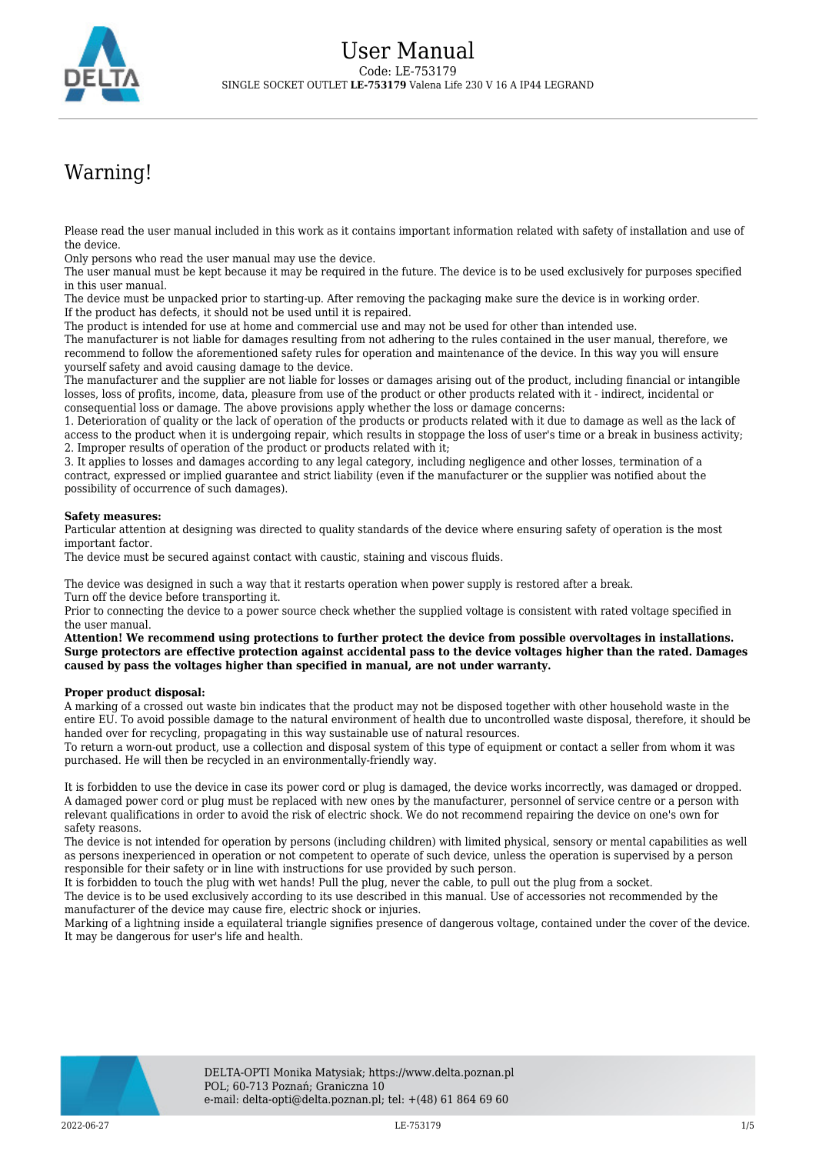

## Warning!

Please read the user manual included in this work as it contains important information related with safety of installation and use of the device.

Only persons who read the user manual may use the device.

The user manual must be kept because it may be required in the future. The device is to be used exclusively for purposes specified in this user manual.

The device must be unpacked prior to starting-up. After removing the packaging make sure the device is in working order. If the product has defects, it should not be used until it is repaired.

The product is intended for use at home and commercial use and may not be used for other than intended use.

The manufacturer is not liable for damages resulting from not adhering to the rules contained in the user manual, therefore, we recommend to follow the aforementioned safety rules for operation and maintenance of the device. In this way you will ensure yourself safety and avoid causing damage to the device.

The manufacturer and the supplier are not liable for losses or damages arising out of the product, including financial or intangible losses, loss of profits, income, data, pleasure from use of the product or other products related with it - indirect, incidental or consequential loss or damage. The above provisions apply whether the loss or damage concerns:

1. Deterioration of quality or the lack of operation of the products or products related with it due to damage as well as the lack of access to the product when it is undergoing repair, which results in stoppage the loss of user's time or a break in business activity; 2. Improper results of operation of the product or products related with it;

3. It applies to losses and damages according to any legal category, including negligence and other losses, termination of a contract, expressed or implied guarantee and strict liability (even if the manufacturer or the supplier was notified about the possibility of occurrence of such damages).

## **Safety measures:**

Particular attention at designing was directed to quality standards of the device where ensuring safety of operation is the most important factor.

The device must be secured against contact with caustic, staining and viscous fluids.

The device was designed in such a way that it restarts operation when power supply is restored after a break. Turn off the device before transporting it.

Prior to connecting the device to a power source check whether the supplied voltage is consistent with rated voltage specified in the user manual.

**Attention! We recommend using protections to further protect the device from possible overvoltages in installations. Surge protectors are effective protection against accidental pass to the device voltages higher than the rated. Damages caused by pass the voltages higher than specified in manual, are not under warranty.**

## **Proper product disposal:**

A marking of a crossed out waste bin indicates that the product may not be disposed together with other household waste in the entire EU. To avoid possible damage to the natural environment of health due to uncontrolled waste disposal, therefore, it should be handed over for recycling, propagating in this way sustainable use of natural resources.

To return a worn-out product, use a collection and disposal system of this type of equipment or contact a seller from whom it was purchased. He will then be recycled in an environmentally-friendly way.

It is forbidden to use the device in case its power cord or plug is damaged, the device works incorrectly, was damaged or dropped. A damaged power cord or plug must be replaced with new ones by the manufacturer, personnel of service centre or a person with relevant qualifications in order to avoid the risk of electric shock. We do not recommend repairing the device on one's own for safety reasons.

The device is not intended for operation by persons (including children) with limited physical, sensory or mental capabilities as well as persons inexperienced in operation or not competent to operate of such device, unless the operation is supervised by a person responsible for their safety or in line with instructions for use provided by such person.

It is forbidden to touch the plug with wet hands! Pull the plug, never the cable, to pull out the plug from a socket.

The device is to be used exclusively according to its use described in this manual. Use of accessories not recommended by the manufacturer of the device may cause fire, electric shock or injuries.

Marking of a lightning inside a equilateral triangle signifies presence of dangerous voltage, contained under the cover of the device. It may be dangerous for user's life and health.

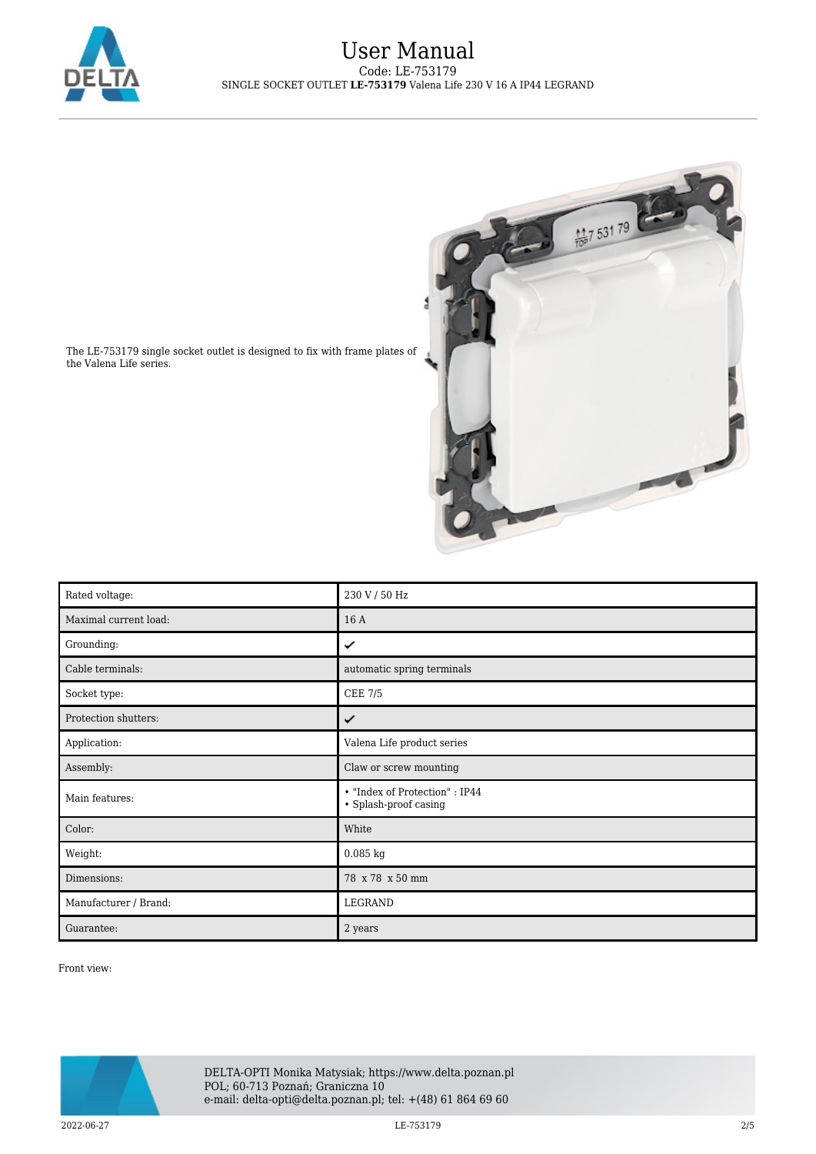



The LE-753179 single socket outlet is designed to fix with frame plates of the Valena Life series.

| Rated voltage:        | 230 V / 50 Hz                                           |
|-----------------------|---------------------------------------------------------|
| Maximal current load: | 16 A                                                    |
| Grounding:            | ✓                                                       |
| Cable terminals:      | automatic spring terminals                              |
| Socket type:          | <b>CEE 7/5</b>                                          |
| Protection shutters:  | ✓                                                       |
| Application:          | Valena Life product series                              |
| Assembly:             | Claw or screw mounting                                  |
| Main features:        | • "Index of Protection" : IP44<br>• Splash-proof casing |
| Color:                | White                                                   |
| Weight:               | $0.085$ kg                                              |
| Dimensions:           | 78 x 78 x 50 mm                                         |
| Manufacturer / Brand: | LEGRAND                                                 |
| Guarantee:            | 2 years                                                 |

Front view:

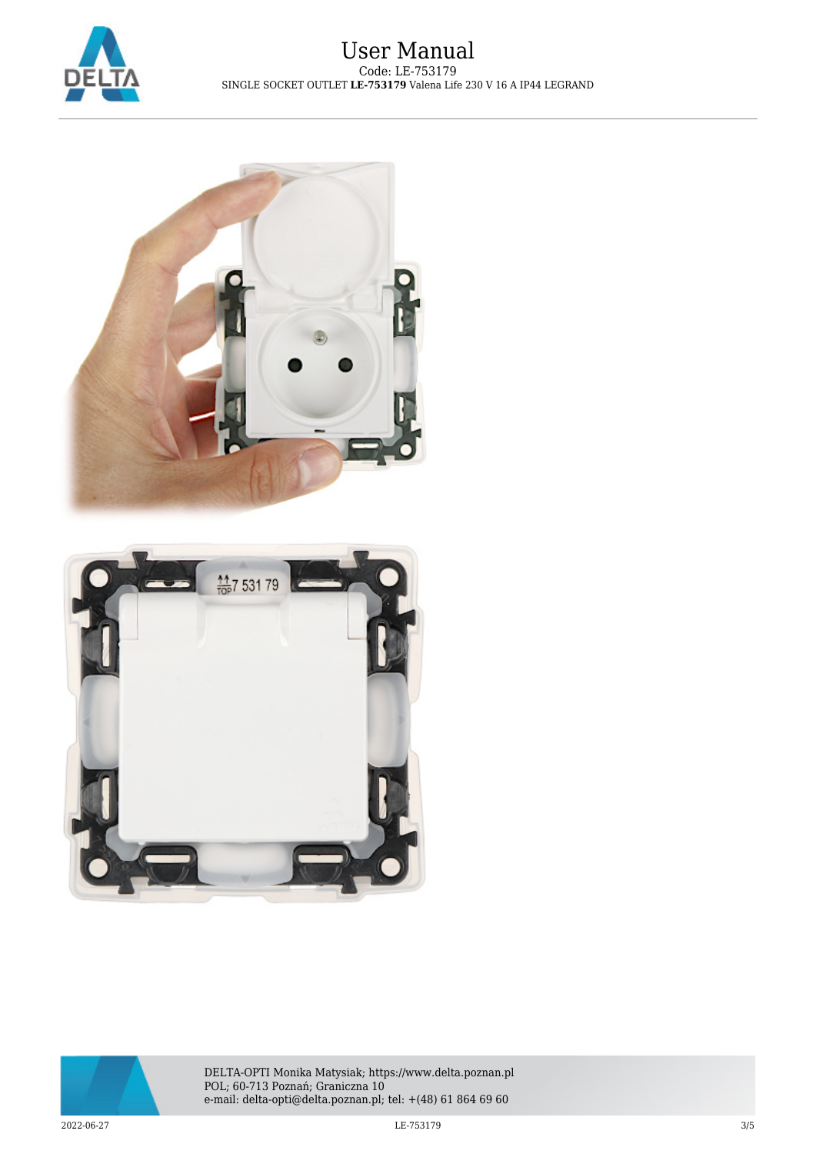





DELTA-OPTI Monika Matysiak; https://www.delta.poznan.pl POL; 60-713 Poznań; Graniczna 10 e-mail: delta-opti@delta.poznan.pl; tel: +(48) 61 864 69 60

2022-06-27 LE-753179 3/5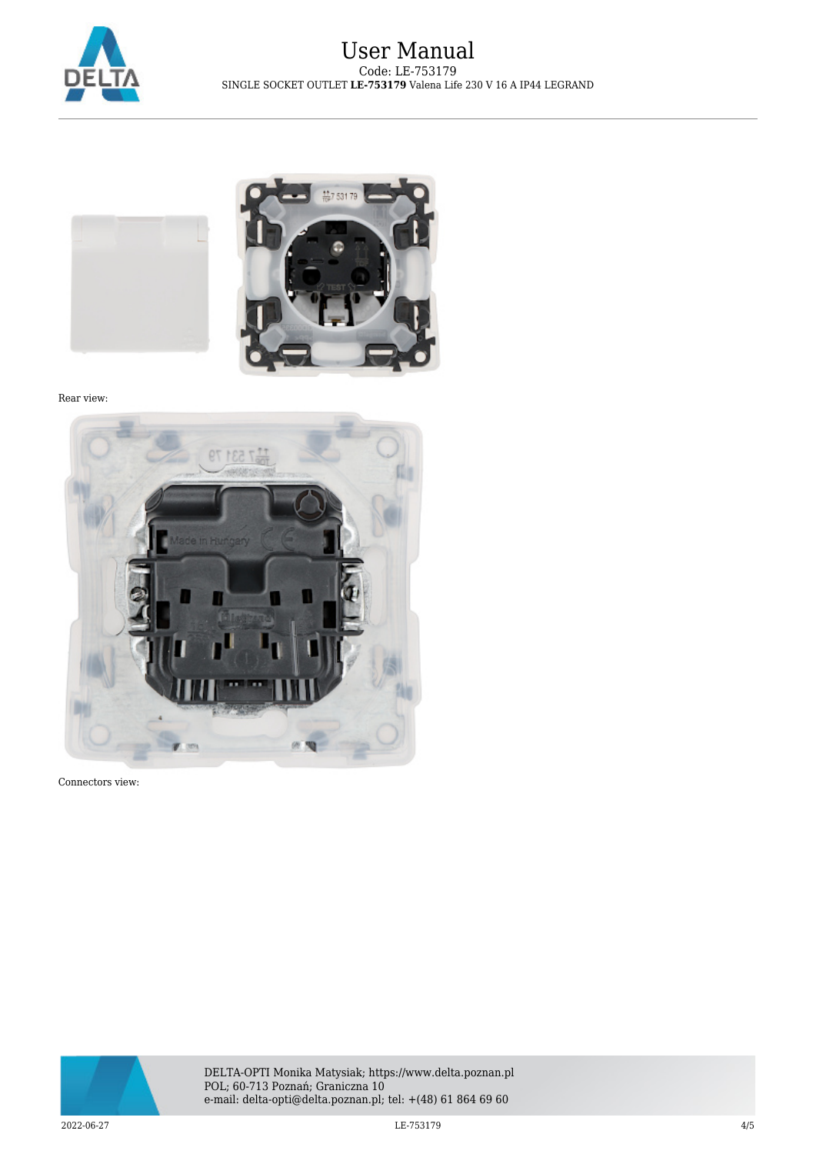



Rear view:



Connectors view:



DELTA-OPTI Monika Matysiak; https://www.delta.poznan.pl POL; 60-713 Poznań; Graniczna 10 e-mail: delta-opti@delta.poznan.pl; tel: +(48) 61 864 69 60

2022-06-27 LE-753179 4/5